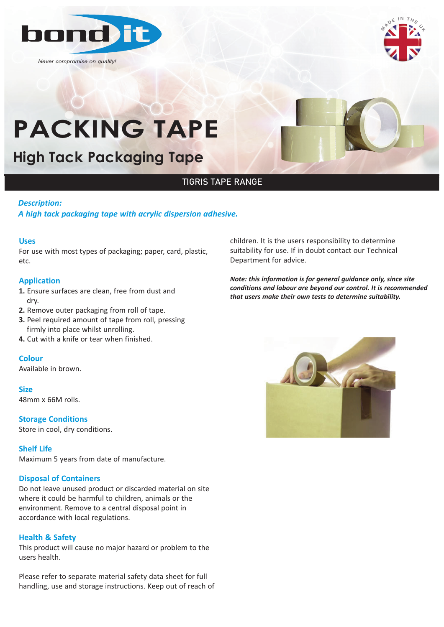

*Never compromise on quality!*



# **High Tack Packaging Tape High Tack Packaging Tape**

## TIGRIS TAPE RANGE

#### *Description:*

*A high tack packaging tape with acrylic dispersion adhesive.*

#### **Uses**

For use with most types of packaging; paper, card, plastic, etc.

### **Application**

- **1.** Ensure surfaces are clean, free from dust and dry.
- **2.** Remove outer packaging from roll of tape.
- **3.** Peel required amount of tape from roll, pressing firmly into place whilst unrolling.
- **4.** Cut with a knife or tear when finished.

#### **Colour**

Available in brown.

#### **Size**

48mm x 66M rolls.

**Storage Conditions** Store in cool, dry conditions.

#### **Shelf Life**

Maximum 5 years from date of manufacture.

#### **Disposal of Containers**

Do not leave unused product or discarded material on site where it could be harmful to children, animals or the environment. Remove to a central disposal point in accordance with local regulations.

#### **Health & Safety**

This product will cause no major hazard or problem to the users health.

Please refer to separate material safety data sheet for full handling, use and storage instructions. Keep out of reach of children. It is the users responsibility to determine suitability for use. If in doubt contact our Technical Department for advice.

*Note: this information is for general guidance only, since site conditions and labour are beyond our control. It is recommended that users make their own tests to determine suitability.*